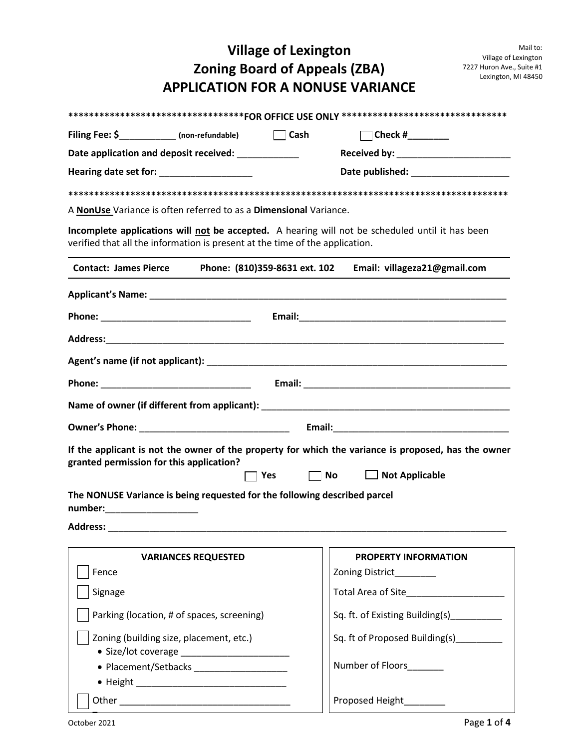## **Village of Lexington Zoning Board of Appeals (ZBA) APPLICATION FOR A NONUSE VARIANCE**

|                                                                              |                            |                               | **********************************FOR OFFICE USE ONLY ********************************                        |  |  |
|------------------------------------------------------------------------------|----------------------------|-------------------------------|---------------------------------------------------------------------------------------------------------------|--|--|
| Filing Fee: \$_____________ (non-refundable) Cash                            |                            |                               |                                                                                                               |  |  |
| Date application and deposit received: ___________                           |                            |                               | Received by: ____________________________                                                                     |  |  |
| Hearing date set for: _________________                                      |                            |                               | Date published: National Property of the United States and States and States and States and States and States |  |  |
|                                                                              |                            |                               |                                                                                                               |  |  |
| A NonUse Variance is often referred to as a Dimensional Variance.            |                            |                               |                                                                                                               |  |  |
| verified that all the information is present at the time of the application. |                            |                               | Incomplete applications will not be accepted. A hearing will not be scheduled until it has been               |  |  |
| <b>Contact: James Pierce</b>                                                 |                            | Phone: (810)359-8631 ext. 102 | Email: villageza21@gmail.com                                                                                  |  |  |
|                                                                              |                            |                               |                                                                                                               |  |  |
|                                                                              |                            |                               |                                                                                                               |  |  |
|                                                                              |                            |                               |                                                                                                               |  |  |
|                                                                              |                            |                               |                                                                                                               |  |  |
|                                                                              |                            |                               |                                                                                                               |  |  |
|                                                                              |                            |                               |                                                                                                               |  |  |
|                                                                              |                            |                               |                                                                                                               |  |  |
|                                                                              |                            |                               |                                                                                                               |  |  |
| granted permission for this application?                                     |                            |                               | If the applicant is not the owner of the property for which the variance is proposed, has the owner           |  |  |
|                                                                              |                            | $\Box$ No<br>ヿ Yes            | $\Box$ Not Applicable                                                                                         |  |  |
| The NONUSE Variance is being requested for the following described parcel    |                            |                               |                                                                                                               |  |  |
| number:                                                                      |                            |                               |                                                                                                               |  |  |
| <b>Address:</b>                                                              |                            |                               |                                                                                                               |  |  |
|                                                                              | <b>VARIANCES REQUESTED</b> |                               | <b>PROPERTY INFORMATION</b>                                                                                   |  |  |
| Fence                                                                        |                            |                               | Zoning District________                                                                                       |  |  |
| Signage                                                                      |                            |                               |                                                                                                               |  |  |
| Parking (location, # of spaces, screening)                                   |                            |                               | Sq. ft. of Existing Building(s)_________                                                                      |  |  |
| Zoning (building size, placement, etc.)                                      |                            |                               | Sq. ft of Proposed Building(s)_________                                                                       |  |  |
|                                                                              |                            |                               | Number of Floors<br>Number of Floors                                                                          |  |  |
|                                                                              |                            |                               |                                                                                                               |  |  |

Other \_\_\_\_\_\_\_\_\_\_\_\_\_\_\_\_\_\_\_\_\_\_\_\_\_\_\_\_\_\_\_\_\_ Proposed Height\_\_\_\_\_\_\_\_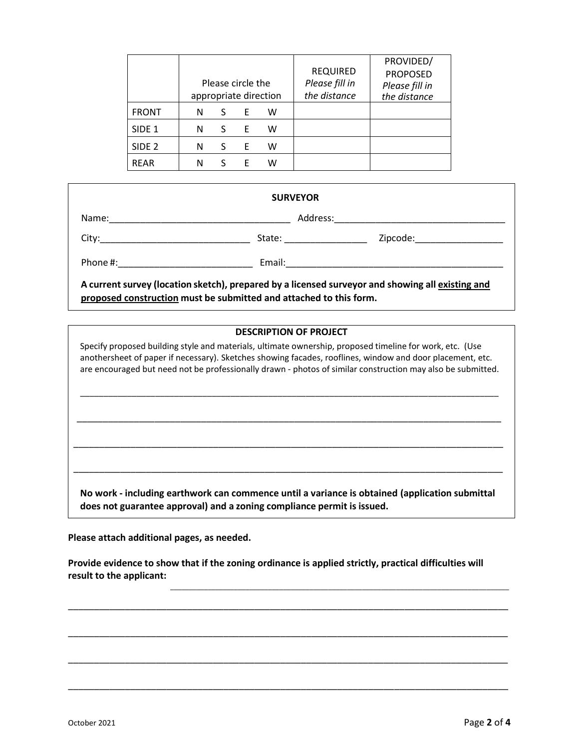|                   |   |   | Please circle the | appropriate direction | <b>REQUIRED</b><br>Please fill in<br>the distance | PROVIDED/<br><b>PROPOSED</b><br>Please fill in<br>the distance |
|-------------------|---|---|-------------------|-----------------------|---------------------------------------------------|----------------------------------------------------------------|
| <b>FRONT</b>      | N | S | E                 | w                     |                                                   |                                                                |
| SIDE <sub>1</sub> | N | S | F                 | w                     |                                                   |                                                                |
| SIDE <sub>2</sub> | N | S | Ε                 | w                     |                                                   |                                                                |
| <b>REAR</b>       | N | S | F                 | w                     |                                                   |                                                                |

| <b>SURVEYOR</b>                                                                                                                                                                                                                |                                                                                                  |                              |  |  |  |  |
|--------------------------------------------------------------------------------------------------------------------------------------------------------------------------------------------------------------------------------|--------------------------------------------------------------------------------------------------|------------------------------|--|--|--|--|
|                                                                                                                                                                                                                                |                                                                                                  |                              |  |  |  |  |
|                                                                                                                                                                                                                                | State: __________________                                                                        | Zipcode:____________________ |  |  |  |  |
| Phone #: the contract of the contract of the contract of the contract of the contract of the contract of the contract of the contract of the contract of the contract of the contract of the contract of the contract of the c |                                                                                                  |                              |  |  |  |  |
|                                                                                                                                                                                                                                | A current survey (location sketch), prepared by a licensed surveyor and showing all existing and |                              |  |  |  |  |

**proposed construction must be submitted and attached to this form.**

## **DESCRIPTION OF PROJECT**

Specify proposed building style and materials, ultimate ownership, proposed timeline for work, etc. (Use anothersheet of paper if necessary). Sketches showing facades, rooflines, window and door placement, etc. are encouraged but need not be professionally drawn - photos of similar construction may also be submitted.

\_\_\_\_\_\_\_\_\_\_\_\_\_\_\_\_\_\_\_\_\_\_\_\_\_\_\_\_\_\_\_\_\_\_\_\_\_\_\_\_\_\_\_\_\_\_\_\_\_\_\_\_\_\_\_\_\_\_\_\_\_\_\_\_\_\_\_\_\_\_\_\_\_\_\_\_\_\_\_\_\_\_\_\_\_\_\_\_\_

\_\_\_\_\_\_\_\_\_\_\_\_\_\_\_\_\_\_\_\_\_\_\_\_\_\_\_\_\_\_\_\_\_\_\_\_\_\_\_\_\_\_\_\_\_\_\_\_\_\_\_\_\_\_\_\_\_\_\_\_\_\_\_\_\_\_\_\_\_\_\_\_\_\_\_\_\_\_\_\_\_\_

\_\_\_\_\_\_\_\_\_\_\_\_\_\_\_\_\_\_\_\_\_\_\_\_\_\_\_\_\_\_\_\_\_\_\_\_\_\_\_\_\_\_\_\_\_\_\_\_\_\_\_\_\_\_\_\_\_\_\_\_\_\_\_\_\_\_\_\_\_\_\_\_\_\_\_\_\_\_\_\_\_\_\_

\_\_\_\_\_\_\_\_\_\_\_\_\_\_\_\_\_\_\_\_\_\_\_\_\_\_\_\_\_\_\_\_\_\_\_\_\_\_\_\_\_\_\_\_\_\_\_\_\_\_\_\_\_\_\_\_\_\_\_\_\_\_\_\_\_\_\_\_\_\_\_\_\_\_\_\_\_\_\_\_\_\_\_

**No work - including earthwork can commence until a variance is obtained (application submittal does not guarantee approval) and a zoning compliance permit is issued.**

**Please attach additional pages, as needed.**

**Provide evidence to show that if the zoning ordinance is applied strictly, practical difficulties will result to the applicant:** 

\_\_\_\_\_\_\_\_\_\_\_\_\_\_\_\_\_\_\_\_\_\_\_\_\_\_\_\_\_\_\_\_\_\_\_\_\_\_\_\_\_\_\_\_\_\_\_\_\_\_\_\_\_\_\_\_\_\_\_\_\_\_\_\_\_\_\_\_\_\_\_\_\_\_\_\_\_\_\_\_\_\_\_\_\_

\_\_\_\_\_\_\_\_\_\_\_\_\_\_\_\_\_\_\_\_\_\_\_\_\_\_\_\_\_\_\_\_\_\_\_\_\_\_\_\_\_\_\_\_\_\_\_\_\_\_\_\_\_\_\_\_\_\_\_\_\_\_\_\_\_\_\_\_\_\_\_\_\_\_\_\_\_\_\_\_\_\_\_\_\_

\_\_\_\_\_\_\_\_\_\_\_\_\_\_\_\_\_\_\_\_\_\_\_\_\_\_\_\_\_\_\_\_\_\_\_\_\_\_\_\_\_\_\_\_\_\_\_\_\_\_\_\_\_\_\_\_\_\_\_\_\_\_\_\_\_\_\_\_\_\_\_\_\_\_\_\_\_\_\_\_\_\_\_\_\_

\_\_\_\_\_\_\_\_\_\_\_\_\_\_\_\_\_\_\_\_\_\_\_\_\_\_\_\_\_\_\_\_\_\_\_\_\_\_\_\_\_\_\_\_\_\_\_\_\_\_\_\_\_\_\_\_\_\_\_\_\_\_\_\_\_\_\_\_\_\_\_\_\_\_\_\_\_\_\_\_\_\_\_\_\_

\_\_\_\_\_\_\_\_\_\_\_\_\_\_\_\_\_\_\_\_\_\_\_\_\_\_\_\_\_\_\_\_\_\_\_\_\_\_\_\_\_\_\_\_\_\_\_\_\_\_\_\_\_\_\_\_\_\_\_\_\_\_\_\_\_\_\_\_\_\_\_\_\_\_\_\_\_\_\_\_\_\_\_\_\_\_\_\_\_\_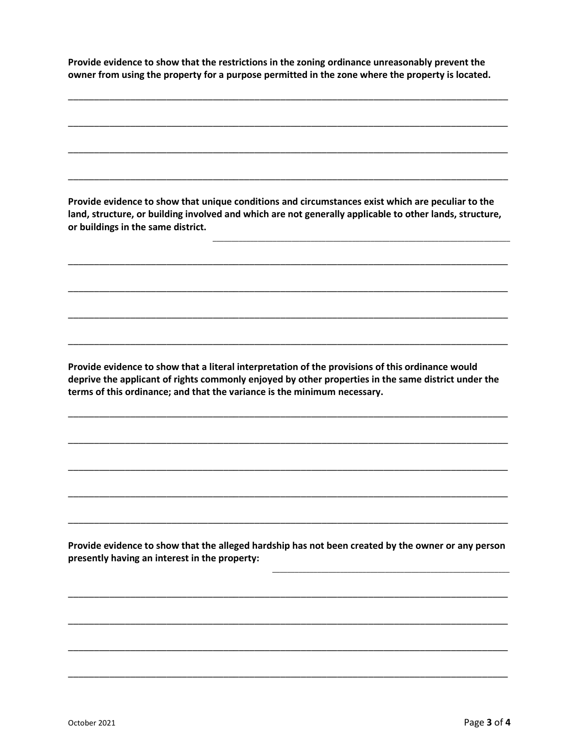**Provide evidence to show that the restrictions in the zoning ordinance unreasonably prevent the owner from using the property for a purpose permitted in the zone where the property is located.** 

\_\_\_\_\_\_\_\_\_\_\_\_\_\_\_\_\_\_\_\_\_\_\_\_\_\_\_\_\_\_\_\_\_\_\_\_\_\_\_\_\_\_\_\_\_\_\_\_\_\_\_\_\_\_\_\_\_\_\_\_\_\_\_\_\_\_\_\_\_\_\_\_\_\_\_\_\_\_\_\_\_\_\_\_\_

\_\_\_\_\_\_\_\_\_\_\_\_\_\_\_\_\_\_\_\_\_\_\_\_\_\_\_\_\_\_\_\_\_\_\_\_\_\_\_\_\_\_\_\_\_\_\_\_\_\_\_\_\_\_\_\_\_\_\_\_\_\_\_\_\_\_\_\_\_\_\_\_\_\_\_\_\_\_\_\_\_\_\_\_\_

\_\_\_\_\_\_\_\_\_\_\_\_\_\_\_\_\_\_\_\_\_\_\_\_\_\_\_\_\_\_\_\_\_\_\_\_\_\_\_\_\_\_\_\_\_\_\_\_\_\_\_\_\_\_\_\_\_\_\_\_\_\_\_\_\_\_\_\_\_\_\_\_\_\_\_\_\_\_\_\_\_\_\_\_\_

\_\_\_\_\_\_\_\_\_\_\_\_\_\_\_\_\_\_\_\_\_\_\_\_\_\_\_\_\_\_\_\_\_\_\_\_\_\_\_\_\_\_\_\_\_\_\_\_\_\_\_\_\_\_\_\_\_\_\_\_\_\_\_\_\_\_\_\_\_\_\_\_\_\_\_\_\_\_\_\_\_\_\_\_\_

**Provide evidence to show that unique conditions and circumstances exist which are peculiar to the land, structure, or building involved and which are not generally applicable to other lands, structure, or buildings in the same district.** 

\_\_\_\_\_\_\_\_\_\_\_\_\_\_\_\_\_\_\_\_\_\_\_\_\_\_\_\_\_\_\_\_\_\_\_\_\_\_\_\_\_\_\_\_\_\_\_\_\_\_\_\_\_\_\_\_\_\_\_\_\_\_\_\_\_\_\_\_\_\_\_\_\_\_\_\_\_\_\_\_\_\_\_\_\_

\_\_\_\_\_\_\_\_\_\_\_\_\_\_\_\_\_\_\_\_\_\_\_\_\_\_\_\_\_\_\_\_\_\_\_\_\_\_\_\_\_\_\_\_\_\_\_\_\_\_\_\_\_\_\_\_\_\_\_\_\_\_\_\_\_\_\_\_\_\_\_\_\_\_\_\_\_\_\_\_\_\_\_\_\_

\_\_\_\_\_\_\_\_\_\_\_\_\_\_\_\_\_\_\_\_\_\_\_\_\_\_\_\_\_\_\_\_\_\_\_\_\_\_\_\_\_\_\_\_\_\_\_\_\_\_\_\_\_\_\_\_\_\_\_\_\_\_\_\_\_\_\_\_\_\_\_\_\_\_\_\_\_\_\_\_\_\_\_\_\_

\_\_\_\_\_\_\_\_\_\_\_\_\_\_\_\_\_\_\_\_\_\_\_\_\_\_\_\_\_\_\_\_\_\_\_\_\_\_\_\_\_\_\_\_\_\_\_\_\_\_\_\_\_\_\_\_\_\_\_\_\_\_\_\_\_\_\_\_\_\_\_\_\_\_\_\_\_\_\_\_\_\_\_\_\_

\_\_\_\_\_\_\_\_\_\_\_\_\_\_\_\_\_\_\_\_\_\_\_\_\_\_\_\_\_\_\_\_\_\_\_\_\_\_\_\_\_\_\_\_\_\_\_\_\_\_\_\_\_\_\_\_\_\_\_\_\_\_\_\_\_\_\_\_\_\_\_\_\_\_\_\_\_\_\_

\_\_\_\_\_\_\_\_\_\_\_\_\_\_\_\_\_\_\_\_\_\_\_\_\_\_\_\_\_\_\_\_\_\_\_\_\_\_\_\_\_\_\_\_\_\_\_\_\_\_\_\_\_\_\_\_\_\_\_\_\_\_\_

**Provide evidence to show that a literal interpretation of the provisions of this ordinance would deprive the applicant of rights commonly enjoyed by other properties in the same district under the terms of this ordinance; and that the variance is the minimum necessary.** 

\_\_\_\_\_\_\_\_\_\_\_\_\_\_\_\_\_\_\_\_\_\_\_\_\_\_\_\_\_\_\_\_\_\_\_\_\_\_\_\_\_\_\_\_\_\_\_\_\_\_\_\_\_\_\_\_\_\_\_\_\_\_\_\_\_\_\_\_\_\_\_\_\_\_\_\_\_\_\_\_\_\_\_\_\_

\_\_\_\_\_\_\_\_\_\_\_\_\_\_\_\_\_\_\_\_\_\_\_\_\_\_\_\_\_\_\_\_\_\_\_\_\_\_\_\_\_\_\_\_\_\_\_\_\_\_\_\_\_\_\_\_\_\_\_\_\_\_\_\_\_\_\_\_\_\_\_\_\_\_\_\_\_\_\_\_\_\_\_\_\_

\_\_\_\_\_\_\_\_\_\_\_\_\_\_\_\_\_\_\_\_\_\_\_\_\_\_\_\_\_\_\_\_\_\_\_\_\_\_\_\_\_\_\_\_\_\_\_\_\_\_\_\_\_\_\_\_\_\_\_\_\_\_\_\_\_\_\_\_\_\_\_\_\_\_\_\_\_\_\_\_\_\_\_\_\_

\_\_\_\_\_\_\_\_\_\_\_\_\_\_\_\_\_\_\_\_\_\_\_\_\_\_\_\_\_\_\_\_\_\_\_\_\_\_\_\_\_\_\_\_\_\_\_\_\_\_\_\_\_\_\_\_\_\_\_\_\_\_\_\_\_\_\_\_\_\_\_\_\_\_\_\_\_\_\_\_\_\_\_\_\_

\_\_\_\_\_\_\_\_\_\_\_\_\_\_\_\_\_\_\_\_\_\_\_\_\_\_\_\_\_\_\_\_\_\_\_\_\_\_\_\_\_\_\_\_\_\_\_\_\_\_\_\_\_\_\_\_\_\_\_\_\_\_\_\_\_\_\_\_\_\_\_\_\_\_\_\_\_\_\_\_\_\_\_\_\_

**Provide evidence to show that the alleged hardship has not been created by the owner or any person presently having an interest in the property:** 

\_\_\_\_\_\_\_\_\_\_\_\_\_\_\_\_\_\_\_\_\_\_\_\_\_\_\_\_\_\_\_\_\_\_\_\_\_\_\_\_\_\_\_\_\_\_\_\_\_\_\_\_\_\_\_\_\_\_\_\_\_\_\_\_\_\_\_\_\_\_\_\_\_\_\_\_\_\_\_\_\_\_\_\_\_

\_\_\_\_\_\_\_\_\_\_\_\_\_\_\_\_\_\_\_\_\_\_\_\_\_\_\_\_\_\_\_\_\_\_\_\_\_\_\_\_\_\_\_\_\_\_\_\_\_\_\_\_\_\_\_\_\_\_\_\_\_\_\_\_\_\_\_\_\_\_\_\_\_\_\_\_\_\_\_\_\_\_\_\_\_

\_\_\_\_\_\_\_\_\_\_\_\_\_\_\_\_\_\_\_\_\_\_\_\_\_\_\_\_\_\_\_\_\_\_\_\_\_\_\_\_\_\_\_\_\_\_\_\_\_\_\_\_\_\_\_\_\_\_\_\_\_\_\_\_\_\_\_\_\_\_\_\_\_\_\_\_\_\_\_\_\_\_\_\_\_

\_\_\_\_\_\_\_\_\_\_\_\_\_\_\_\_\_\_\_\_\_\_\_\_\_\_\_\_\_\_\_\_\_\_\_\_\_\_\_\_\_\_\_\_\_\_\_\_\_\_\_\_\_\_\_\_\_\_\_\_\_\_\_\_\_\_\_\_\_\_\_\_\_\_\_\_\_\_\_\_\_\_\_\_\_